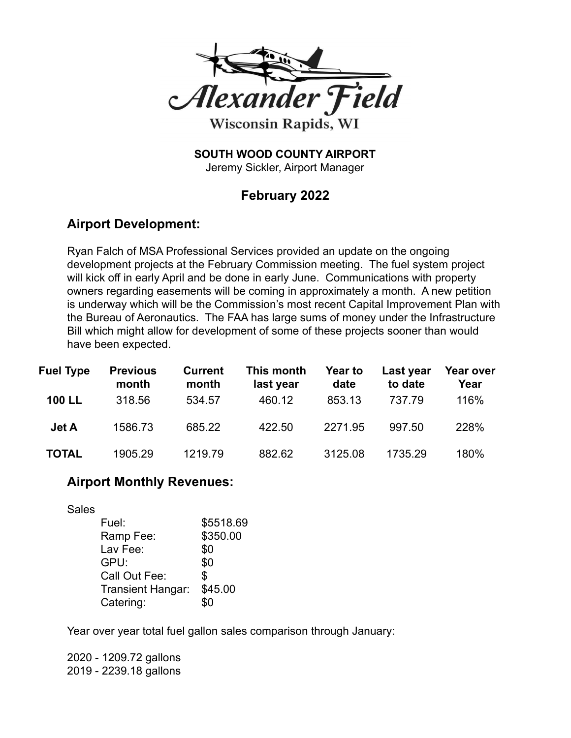

**SOUTH WOOD COUNTY AIRPORT**

Jeremy Sickler, Airport Manager

## **February 2022**

## **Airport Development:**

Ryan Falch of MSA Professional Services provided an update on the ongoing development projects at the February Commission meeting. The fuel system project will kick off in early April and be done in early June. Communications with property owners regarding easements will be coming in approximately a month. A new petition is underway which will be the Commission's most recent Capital Improvement Plan with the Bureau of Aeronautics. The FAA has large sums of money under the Infrastructure Bill which might allow for development of some of these projects sooner than would have been expected.

| <b>Fuel Type</b> | <b>Previous</b><br>month | <b>Current</b><br>month | This month<br>last year | Year to<br>date | Last year<br>to date | Year over<br>Year |
|------------------|--------------------------|-------------------------|-------------------------|-----------------|----------------------|-------------------|
| <b>100 LL</b>    | 318.56                   | 534.57                  | 460.12                  | 853.13          | 737.79               | 116%              |
| Jet A            | 1586.73                  | 685.22                  | 422.50                  | 2271.95         | 997.50               | 228%              |
| <b>TOTAL</b>     | 1905.29                  | 1219.79                 | 882.62                  | 3125.08         | 1735.29              | 180%              |

## **Airport Monthly Revenues:**

Sales

| Fuel:             | \$5518.69 |
|-------------------|-----------|
| Ramp Fee:         | \$350.00  |
| Lav Fee:          | \$0       |
| GPU:              | \$0       |
| Call Out Fee:     | \$        |
| Transient Hangar: | \$45.00   |
| Catering:         | ደበ        |

Year over year total fuel gallon sales comparison through January:

2020 - 1209.72 gallons 2019 - 2239.18 gallons